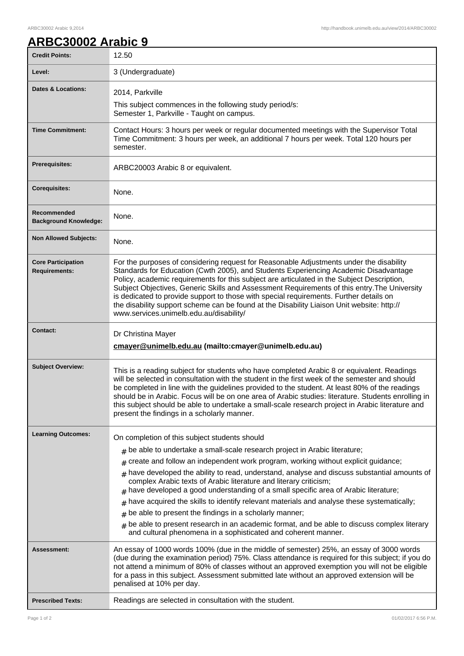## **ARBC30002 Arabic 9**

| <b>Credit Points:</b>                             | 12.50                                                                                                                                                                                                                                                                                                                                                                                                                                                                                                                                                                                                            |
|---------------------------------------------------|------------------------------------------------------------------------------------------------------------------------------------------------------------------------------------------------------------------------------------------------------------------------------------------------------------------------------------------------------------------------------------------------------------------------------------------------------------------------------------------------------------------------------------------------------------------------------------------------------------------|
| Level:                                            | 3 (Undergraduate)                                                                                                                                                                                                                                                                                                                                                                                                                                                                                                                                                                                                |
| <b>Dates &amp; Locations:</b>                     | 2014, Parkville                                                                                                                                                                                                                                                                                                                                                                                                                                                                                                                                                                                                  |
|                                                   | This subject commences in the following study period/s:                                                                                                                                                                                                                                                                                                                                                                                                                                                                                                                                                          |
|                                                   | Semester 1, Parkville - Taught on campus.                                                                                                                                                                                                                                                                                                                                                                                                                                                                                                                                                                        |
| <b>Time Commitment:</b>                           | Contact Hours: 3 hours per week or regular documented meetings with the Supervisor Total<br>Time Commitment: 3 hours per week, an additional 7 hours per week. Total 120 hours per<br>semester.                                                                                                                                                                                                                                                                                                                                                                                                                  |
| <b>Prerequisites:</b>                             | ARBC20003 Arabic 8 or equivalent.                                                                                                                                                                                                                                                                                                                                                                                                                                                                                                                                                                                |
| <b>Corequisites:</b>                              | None.                                                                                                                                                                                                                                                                                                                                                                                                                                                                                                                                                                                                            |
| Recommended<br><b>Background Knowledge:</b>       | None.                                                                                                                                                                                                                                                                                                                                                                                                                                                                                                                                                                                                            |
| <b>Non Allowed Subjects:</b>                      | None.                                                                                                                                                                                                                                                                                                                                                                                                                                                                                                                                                                                                            |
| <b>Core Participation</b><br><b>Requirements:</b> | For the purposes of considering request for Reasonable Adjustments under the disability<br>Standards for Education (Cwth 2005), and Students Experiencing Academic Disadvantage<br>Policy, academic requirements for this subject are articulated in the Subject Description,<br>Subject Objectives, Generic Skills and Assessment Requirements of this entry. The University<br>is dedicated to provide support to those with special requirements. Further details on<br>the disability support scheme can be found at the Disability Liaison Unit website: http://<br>www.services.unimelb.edu.au/disability/ |
| <b>Contact:</b>                                   | Dr Christina Mayer<br>cmayer@unimelb.edu.au (mailto:cmayer@unimelb.edu.au)                                                                                                                                                                                                                                                                                                                                                                                                                                                                                                                                       |
| <b>Subject Overview:</b>                          | This is a reading subject for students who have completed Arabic 8 or equivalent. Readings<br>will be selected in consultation with the student in the first week of the semester and should<br>be completed in line with the guidelines provided to the student. At least 80% of the readings<br>should be in Arabic. Focus will be on one area of Arabic studies: literature. Students enrolling in<br>this subject should be able to undertake a small-scale research project in Arabic literature and<br>present the findings in a scholarly manner.                                                         |
| <b>Learning Outcomes:</b>                         | On completion of this subject students should                                                                                                                                                                                                                                                                                                                                                                                                                                                                                                                                                                    |
|                                                   | $#$ be able to undertake a small-scale research project in Arabic literature;                                                                                                                                                                                                                                                                                                                                                                                                                                                                                                                                    |
|                                                   | create and follow an independent work program, working without explicit guidance;<br>#                                                                                                                                                                                                                                                                                                                                                                                                                                                                                                                           |
|                                                   | have developed the ability to read, understand, analyse and discuss substantial amounts of<br>#<br>complex Arabic texts of Arabic literature and literary criticism;<br>have developed a good understanding of a small specific area of Arabic literature;                                                                                                                                                                                                                                                                                                                                                       |
|                                                   | have acquired the skills to identify relevant materials and analyse these systematically;<br>#                                                                                                                                                                                                                                                                                                                                                                                                                                                                                                                   |
|                                                   | be able to present the findings in a scholarly manner;<br>#                                                                                                                                                                                                                                                                                                                                                                                                                                                                                                                                                      |
|                                                   | be able to present research in an academic format, and be able to discuss complex literary<br>#<br>and cultural phenomena in a sophisticated and coherent manner.                                                                                                                                                                                                                                                                                                                                                                                                                                                |
| <b>Assessment:</b>                                | An essay of 1000 words 100% (due in the middle of semester) 25%, an essay of 3000 words<br>(due during the examination period) 75%. Class attendance is required for this subject; if you do<br>not attend a minimum of 80% of classes without an approved exemption you will not be eligible<br>for a pass in this subject. Assessment submitted late without an approved extension will be<br>penalised at 10% per day.                                                                                                                                                                                        |
| <b>Prescribed Texts:</b>                          | Readings are selected in consultation with the student.                                                                                                                                                                                                                                                                                                                                                                                                                                                                                                                                                          |